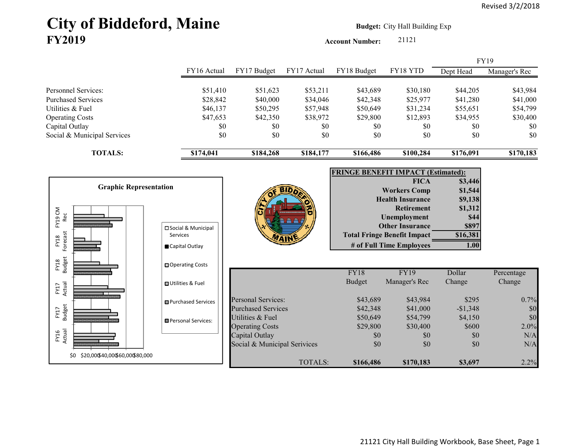# City of Biddeford, Maine **Budget:** City Hall Building Exp **FY2019**

**Account Number:** 21121

|                                                                                                                  |                                                                         |                                                                                                                        |                                                     |                                                     |                                                                                                                                                                                                |                                                                               | <b>FY19</b>                                         |
|------------------------------------------------------------------------------------------------------------------|-------------------------------------------------------------------------|------------------------------------------------------------------------------------------------------------------------|-----------------------------------------------------|-----------------------------------------------------|------------------------------------------------------------------------------------------------------------------------------------------------------------------------------------------------|-------------------------------------------------------------------------------|-----------------------------------------------------|
|                                                                                                                  | FY16 Actual                                                             | FY17 Budget                                                                                                            | FY17 Actual                                         | FY18 Budget                                         | FY18 YTD                                                                                                                                                                                       | Dept Head                                                                     | Manager's Rec                                       |
| Personnel Services:<br><b>Purchased Services</b><br>Utilities & Fuel<br><b>Operating Costs</b><br>Capital Outlay | \$51,410<br>\$28,842<br>\$46,137<br>\$47,653<br>\$0                     | \$51,623<br>\$40,000<br>\$50,295<br>\$42,350<br>\$0                                                                    | \$53,211<br>\$34,046<br>\$57,948<br>\$38,972<br>\$0 | \$43,689<br>\$42,348<br>\$50,649<br>\$29,800<br>\$0 | \$30,180<br>\$25,977<br>\$31,234<br>\$12,893<br>\$0                                                                                                                                            | \$44,205<br>\$41,280<br>\$55,651<br>\$34,955<br>\$0                           | \$43,984<br>\$41,000<br>\$54,799<br>\$30,400<br>\$0 |
| Social & Municipal Services                                                                                      | \$0                                                                     | \$0                                                                                                                    | \$0                                                 | \$0                                                 | \$0                                                                                                                                                                                            | \$0                                                                           | \$0                                                 |
| <b>TOTALS:</b>                                                                                                   | \$174,041                                                               | \$184,268                                                                                                              | \$184,177                                           | \$166,486                                           | \$100,284                                                                                                                                                                                      | \$176,091                                                                     | \$170,183                                           |
|                                                                                                                  |                                                                         |                                                                                                                        |                                                     | <b>FRINGE BENEFIT IMPACT (Estimated):</b>           |                                                                                                                                                                                                |                                                                               |                                                     |
| <b>Graphic Representation</b><br>FY19 CM<br>Rec<br>Forecast<br>FY18<br><b>Budget</b><br>FY18                     | □ Social & Municipal<br>Services<br>Capital Outlay<br>□ Operating Costs |                                                                                                                        |                                                     |                                                     | <b>FICA</b><br><b>Workers Comp</b><br><b>Health Insurance</b><br><b>Retirement</b><br>Unemployment<br><b>Other Insurance</b><br><b>Total Fringe Benefit Impact</b><br># of Full Time Employees | \$3,446<br>\$1,544<br>\$9,138<br>\$1,312<br>\$44<br>\$897<br>\$16,381<br>1.00 |                                                     |
|                                                                                                                  |                                                                         |                                                                                                                        |                                                     | FY18                                                | <b>FY19</b>                                                                                                                                                                                    | Dollar                                                                        | Percentage                                          |
| Actual<br>FY17                                                                                                   | <b>□</b> Utilities & Fuel                                               |                                                                                                                        |                                                     | <b>Budget</b>                                       | Manager's Rec                                                                                                                                                                                  | Change                                                                        | Change                                              |
| <b>Budget</b><br>FY17<br>FY16<br>Actual                                                                          | <b>■Purchased Services</b><br>Personal Services:                        | <b>Personal Services:</b><br><b>Purchased Services</b><br>Utilities & Fuel<br><b>Operating Costs</b><br>Capital Outlay |                                                     | \$43,689<br>\$42,348<br>\$50,649<br>\$29,800<br>\$0 | \$43,984<br>\$41,000<br>\$54,799<br>\$30,400<br>\$0                                                                                                                                            | \$295<br>$-$1,348$<br>\$4,150<br>\$600<br>\$0                                 | 0.7%<br>\$0<br>\$0<br>2.0%<br>N/A                   |
| \$20,000\$40,000\$60,000\$80,000<br>\$0                                                                          |                                                                         | Social & Municipal Serivices                                                                                           | TOTALS:                                             | \$0<br>\$166,486                                    | \$0<br>\$170,183                                                                                                                                                                               | \$0<br>\$3,697                                                                | N/A<br>2.2%                                         |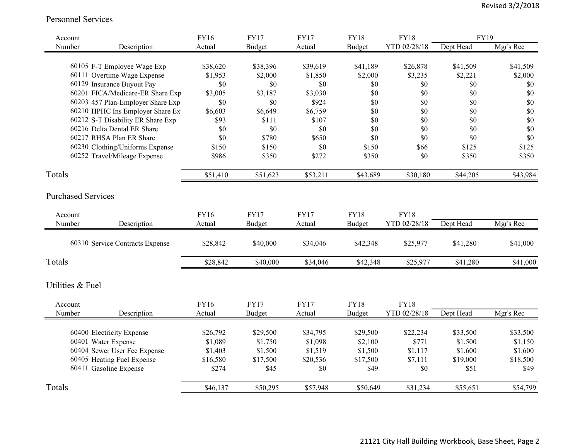#### Personnel Services

| Account                   |                                   | <b>FY16</b> | <b>FY17</b>   | <b>FY17</b> | <b>FY18</b> | <b>FY18</b>  | <b>FY19</b>        |           |
|---------------------------|-----------------------------------|-------------|---------------|-------------|-------------|--------------|--------------------|-----------|
| Number                    | Description                       | Actual      | Budget        | Actual      | Budget      | YTD 02/28/18 | Dept Head          | Mgr's Rec |
|                           |                                   |             |               |             |             |              |                    |           |
|                           | 60105 F-T Employee Wage Exp       | \$38,620    | \$38,396      | \$39,619    | \$41,189    | \$26,878     | \$41,509           | \$41,509  |
|                           | 60111 Overtime Wage Expense       | \$1,953     | \$2,000       | \$1,850     | \$2,000     | \$3,235      | \$2,221            | \$2,000   |
|                           | 60129 Insurance Buyout Pay        | \$0         | \$0           | \$0         | \$0         | \$0          | \$0                | \$0       |
|                           | 60201 FICA/Medicare-ER Share Exp  | \$3,005     | \$3,187       | \$3,030     | \$0         | \$0          | \$0                | \$0       |
|                           | 60203 457 Plan-Employer Share Exp | \$0         | \$0           | \$924       | \$0         | \$0          | \$0                | \$0       |
|                           | 60210 HPHC Ins Employer Share Ex  | \$6,603     | \$6,649       | \$6,759     | \$0         | \$0          | \$0                | \$0       |
|                           | 60212 S-T Disability ER Share Exp | \$93        | \$111         | \$107       | \$0         | \$0          | \$0                | \$0       |
|                           | 60216 Delta Dental ER Share       | \$0         | \$0           | \$0         | \$0         | \$0          | \$0                | \$0       |
|                           | 60217 RHSA Plan ER Share          | \$0         | \$780         | \$650       | \$0         | \$0          | \$0                | \$0       |
|                           | 60230 Clothing/Uniforms Expense   | \$150       | \$150         | \$0         | \$150       | \$66         | \$125              | \$125     |
|                           | 60252 Travel/Mileage Expense      | \$986       | \$350         | \$272       | \$350       | \$0          | \$350              | \$350     |
| Totals                    |                                   | \$51,410    | \$51,623      | \$53,211    | \$43,689    | \$30,180     | \$44,205           | \$43,984  |
| <b>Purchased Services</b> |                                   |             |               |             |             |              |                    |           |
| Account                   |                                   | FY16        | <b>FY17</b>   | <b>FY17</b> | <b>FY18</b> | <b>FY18</b>  |                    |           |
| Number                    | Description                       | Actual      | <b>Budget</b> | Actual      | Budget      | YTD 02/28/18 | Dept Head          | Mgr's Rec |
|                           |                                   |             |               |             |             |              |                    |           |
|                           | 60310 Service Contracts Expense   | \$28,842    | \$40,000      | \$34,046    | \$42,348    | \$25,977     | \$41,280           | \$41,000  |
| Totals                    |                                   | \$28,842    | \$40,000      | \$34,046    | \$42,348    | \$25,977     | \$41,280           | \$41,000  |
| Utilities & Fuel          |                                   |             |               |             |             |              |                    |           |
| Account                   |                                   | <b>FY16</b> | <b>FY17</b>   | <b>FY17</b> | <b>FY18</b> | <b>FY18</b>  |                    |           |
| Number                    | Description                       | Actual      | Budget        | Actual      | Budget      | YTD 02/28/18 | Dept Head          | Mgr's Rec |
|                           |                                   |             |               |             |             |              |                    |           |
|                           | 60400 Electricity Expense         | \$26,792    | \$29,500      | \$34,795    | \$29,500    | \$22,234     | \$33,500           | \$33,500  |
|                           | 60401 Water Expense               | \$1,089     | \$1,750       | \$1,098     | \$2,100     | \$771        | \$1,500<br>\$1,600 | \$1,150   |
|                           | 60404 Sewer User Fee Expense      | \$1,403     | \$1,500       | \$1,519     | \$1,500     | \$1,117      |                    | \$1,600   |
|                           | 60405 Heating Fuel Expense        | \$16,580    | \$17,500      | \$20,536    | \$17,500    | \$7,111      | \$19,000           | \$18,500  |
|                           | 60411 Gasoline Expense            | \$274       | \$45          | \$0         | \$49        | \$0          | \$51               | \$49      |
| Totals                    |                                   | \$46,137    | \$50,295      | \$57,948    | \$50,649    | \$31,234     | \$55,651           | \$54,799  |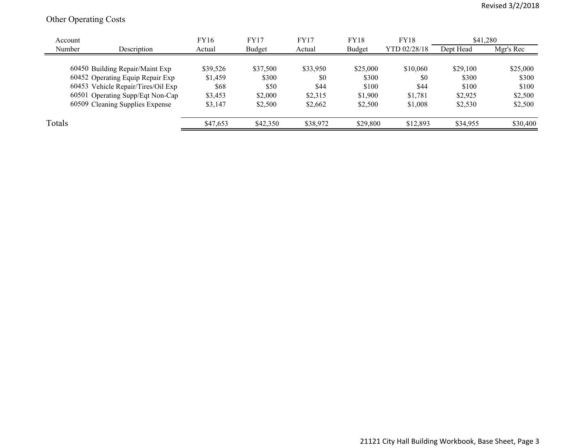## Other Operating Costs

| Account |                                    | <b>FY16</b> | <b>FY17</b> | <b>FY17</b> | <b>FY18</b> | <b>FY18</b>  | \$41,280  |           |
|---------|------------------------------------|-------------|-------------|-------------|-------------|--------------|-----------|-----------|
| Number  | Description                        | Actual      | Budget      | Actual      | Budget      | YTD 02/28/18 | Dept Head | Mgr's Rec |
|         |                                    |             |             |             |             |              |           |           |
|         | 60450 Building Repair/Maint Exp    | \$39,526    | \$37,500    | \$33,950    | \$25,000    | \$10,060     | \$29,100  | \$25,000  |
|         | 60452 Operating Equip Repair Exp   | \$1,459     | \$300       | \$0         | \$300       | \$0          | \$300     | \$300     |
|         | 60453 Vehicle Repair/Tires/Oil Exp | \$68        | \$50        | \$44        | \$100       | \$44         | \$100     | \$100     |
|         | 60501 Operating Supp/Eqt Non-Cap   | \$3.453     | \$2,000     | \$2,315     | \$1,900     | \$1.781      | \$2,925   | \$2,500   |
|         | 60509 Cleaning Supplies Expense    | \$3,147     | \$2,500     | \$2,662     | \$2,500     | \$1,008      | \$2,530   | \$2,500   |
| Totals  |                                    | \$47,653    | \$42,350    | \$38,972    | \$29,800    | \$12,893     | \$34,955  | \$30,400  |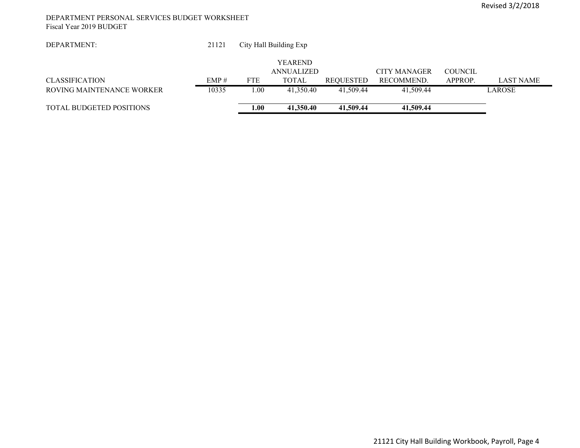#### DEPARTMENT PERSONAL SERVICES BUDGET WORKSHEET Fiscal Year 2019 BUDGET

| DEPARTMENT:                     | 21121 |            | City Hall Building Exp |           |              |         |                  |
|---------------------------------|-------|------------|------------------------|-----------|--------------|---------|------------------|
|                                 |       |            | <b>YEAREND</b>         |           |              |         |                  |
|                                 |       |            | ANNUALIZED             |           | CITY MANAGER | COUNCIL |                  |
| <b>CLASSIFICATION</b>           | EMP#  | <b>FTE</b> | <b>TOTAL</b>           | REOUESTED | RECOMMEND.   | APPROP. | <b>LAST NAME</b> |
| ROVING MAINTENANCE WORKER       | 10335 | 0.00       | 41,350.40              | 41,509.44 | 41,509.44    |         | <b>LAROSE</b>    |
| <b>TOTAL BUDGETED POSITIONS</b> |       | 1.00       | 41,350.40              | 41,509.44 | 41,509.44    |         |                  |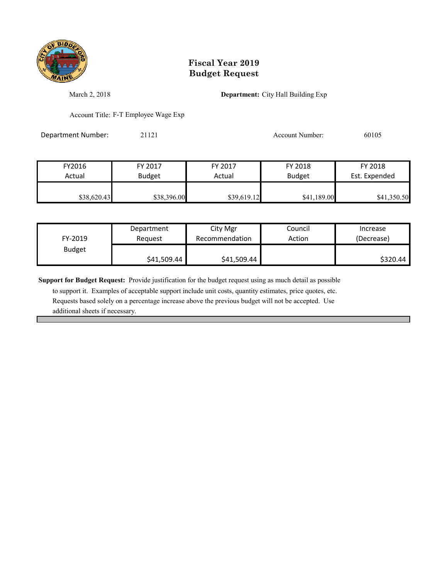

March 2, 2018 **Department:** City Hall Building Exp

Account Title: F-T Employee Wage Exp

Department Number: 21121 21121 Account Number: 60105

FY2016 FY 2017 FY 2017 FY 2018 FY 2018 Actual Budget Actual Budget Est. Expended \$38,620.43 \$38,396.00 \$39,619.12 \$41,189.00 \$41,350.50

| FY-2019       | Department  | City Mgr       | Council | Increase   |
|---------------|-------------|----------------|---------|------------|
|               | Reauest     | Recommendation | Action  | (Decrease) |
| <b>Budget</b> | \$41,509.44 | \$41,509.44    |         | \$320.44   |

**Support for Budget Request:** Provide justification for the budget request using as much detail as possible

 to support it. Examples of acceptable support include unit costs, quantity estimates, price quotes, etc. Requests based solely on a percentage increase above the previous budget will not be accepted. Use additional sheets if necessary.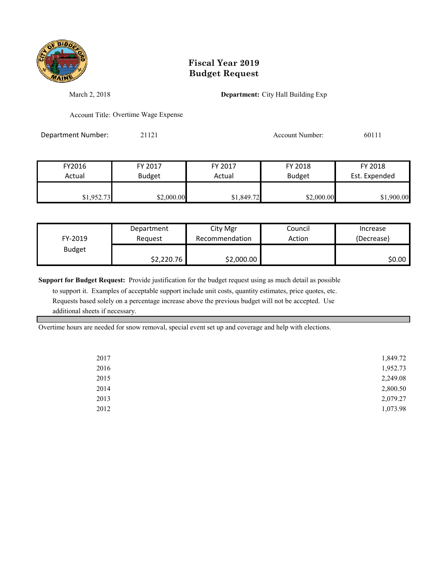

March 2, 2018 **Department:** City Hall Building Exp

Account Title: Overtime Wage Expense

Department Number: 21121 21121 Account Number: 60111

| FY2016     | FY 2017       | FY 2017    | FY 2018       | FY 2018       |
|------------|---------------|------------|---------------|---------------|
| Actual     | <b>Budget</b> | Actual     | <b>Budget</b> | Est. Expended |
| \$1,952.73 | \$2,000.00    | \$1,849.72 | \$2,000.00    | \$1,900.00    |

|               | Department | City Mgr       | Council | Increase   |
|---------------|------------|----------------|---------|------------|
| FY-2019       | Reauest    | Recommendation | Action  | (Decrease) |
| <b>Budget</b> |            |                |         |            |
|               | \$2,220.76 | \$2,000.00     |         | \$0.00     |

**Support for Budget Request:** Provide justification for the budget request using as much detail as possible

 to support it. Examples of acceptable support include unit costs, quantity estimates, price quotes, etc. Requests based solely on a percentage increase above the previous budget will not be accepted. Use additional sheets if necessary.

Overtime hours are needed for snow removal, special event set up and coverage and help with elections.

| 2017 | 1,849.72 |
|------|----------|
| 2016 | 1,952.73 |
| 2015 | 2,249.08 |
| 2014 | 2,800.50 |
| 2013 | 2,079.27 |
| 2012 | 1,073.98 |
|      |          |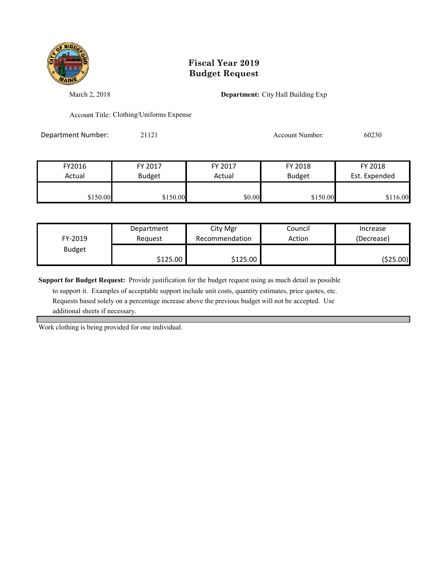

March 2, 2018 **Department:** City Hall Building Exp

Account Title: Clothing/Uniforms Expense

Department Number: 21121 21121 Account Number: 60230

| FY2016   | FY 2017       | FY 2017 | FY 2018       | FY 2018       |
|----------|---------------|---------|---------------|---------------|
| Actual   | <b>Budget</b> | Actual  | <b>Budget</b> | Est. Expended |
|          |               |         |               |               |
| \$150.00 | \$150.00      | \$0.00  | \$150.00      | \$116.00      |

| FY-2019       | Department | City Mgr       | Council | Increase   |
|---------------|------------|----------------|---------|------------|
|               | Reauest    | Recommendation | Action  | (Decrease) |
| <b>Budget</b> | \$125.00   | \$125.00       |         | ( \$25.00) |

**Support for Budget Request:** Provide justification for the budget request using as much detail as possible

 to support it. Examples of acceptable support include unit costs, quantity estimates, price quotes, etc. Requests based solely on a percentage increase above the previous budget will not be accepted. Use additional sheets if necessary.

Work clothing is being provided for one individual.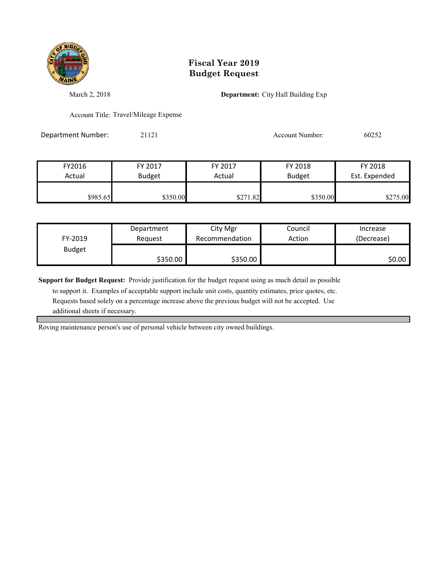

March 2, 2018 **Department:** City Hall Building Exp

Account Title: Travel/Mileage Expense

Department Number: 21121 21121 Account Number: 60252

| FY2016   | FY 2017       | FY 2017  | FY 2018       | FY 2018       |
|----------|---------------|----------|---------------|---------------|
| Actual   | <b>Budget</b> | Actual   | <b>Budget</b> | Est. Expended |
|          |               |          |               |               |
| \$985.65 | \$350.00      | \$271.82 | \$350.00      | \$275.00      |

| FY-2019       | Department | City Mgr       | Council | Increase   |
|---------------|------------|----------------|---------|------------|
|               | Reauest    | Recommendation | Action  | (Decrease) |
| <b>Budget</b> | \$350.00   | \$350.00       |         | \$0.00     |

**Support for Budget Request:** Provide justification for the budget request using as much detail as possible

 to support it. Examples of acceptable support include unit costs, quantity estimates, price quotes, etc. Requests based solely on a percentage increase above the previous budget will not be accepted. Use additional sheets if necessary.

Roving maintenance person's use of personal vehicle between city owned buildings.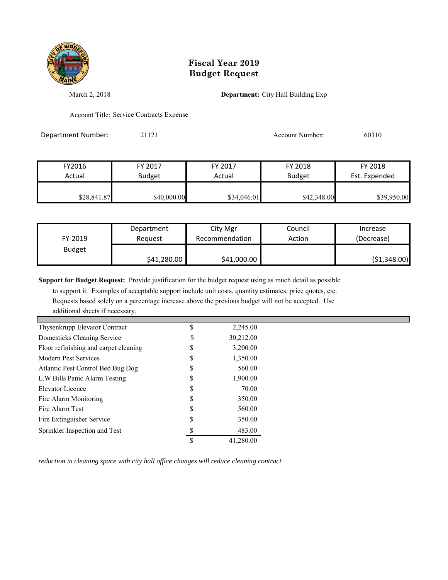

March 2, 2018 **Department:** City Hall Building Exp

Account Title: Service Contracts Expense

Department Number: 21121 21121 Account Number: 60310

FY2016 FY 2017 FY 2017 FY 2018 FY 2018 Actual **Budget Actual Budget Est. Expended** \$28,841.87 \$40,000.00 \$34,046.01 \$42,348.00 \$39,950.00

| FY-2019       | Department  | City Mgr       | Council | Increase      |
|---------------|-------------|----------------|---------|---------------|
|               | Reauest     | Recommendation | Action  | (Decrease)    |
| <b>Budget</b> | \$41,280.00 | \$41,000.00    |         | ( \$1,348.00) |

**Support for Budget Request:** Provide justification for the budget request using as much detail as possible

 to support it. Examples of acceptable support include unit costs, quantity estimates, price quotes, etc. Requests based solely on a percentage increase above the previous budget will not be accepted. Use additional sheets if necessary.

| Thysenkrupp Elevator Contract         | S  | 2,245.00  |
|---------------------------------------|----|-----------|
| Domesticks Cleaning Service           | \$ | 30,212.00 |
| Floor refinishing and carpet cleaning | \$ | 3,200.00  |
| Modern Pest Services                  | \$ | 1,350.00  |
| Atlantic Pest Control Bed Bug Dog     | \$ | 560.00    |
| L.W Bills Panic Alarm Testing         | \$ | 1,900.00  |
| Elevator Licence                      | \$ | 70.00     |
| Fire Alarm Monitoring                 | \$ | 350.00    |
| Fire Alarm Test                       | \$ | 560.00    |
| Fire Extinguisher Service             | \$ | 350.00    |
| Sprinkler Inspection and Test         |    | 483.00    |
|                                       | S  | 41,280.00 |

*reduction in cleaning space with city hall office changes will reduce cleaning contract*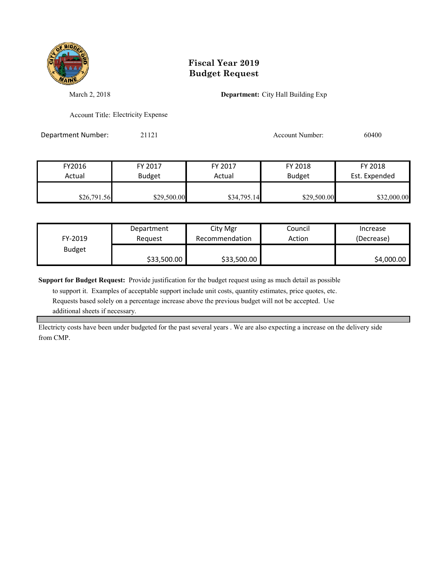

March 2, 2018 **Department:** City Hall Building Exp

Account Title: Electricity Expense

Department Number: 21121 21121 Account Number: 60400

| FY2016      | FY 2017       | FY 2017     | FY 2018       | FY 2018       |
|-------------|---------------|-------------|---------------|---------------|
| Actual      | <b>Budget</b> | Actual      | <b>Budget</b> | Est. Expended |
|             |               |             |               |               |
| \$26,791.56 | \$29,500.00   | \$34,795.14 | \$29,500.00   | \$32,000.00   |

|               | Department  | City Mgr       | Council | Increase   |
|---------------|-------------|----------------|---------|------------|
| FY-2019       | Reauest     | Recommendation | Action  | (Decrease) |
| <b>Budget</b> |             |                |         |            |
|               | \$33,500.00 | \$33,500.00    |         | \$4,000.00 |

**Support for Budget Request:** Provide justification for the budget request using as much detail as possible

 to support it. Examples of acceptable support include unit costs, quantity estimates, price quotes, etc. Requests based solely on a percentage increase above the previous budget will not be accepted. Use additional sheets if necessary.

Electricty costs have been under budgeted for the past several years . We are also expecting a increase on the delivery side from CMP.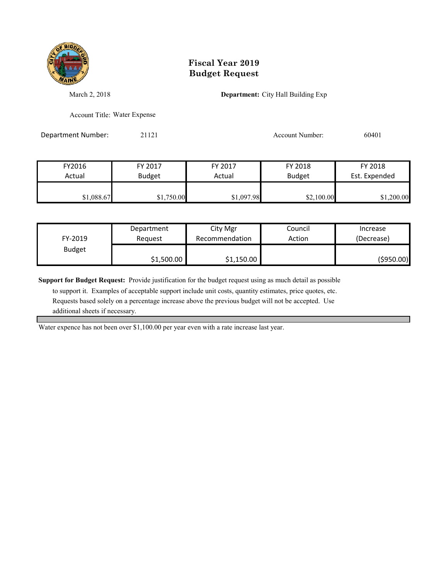

March 2, 2018 **Department:** City Hall Building Exp

Account Title: Water Expense

Department Number: 21121 21121 Account Number: 60401

| FY2016     | FY 2017       | FY 2017    | FY 2018       | FY 2018       |
|------------|---------------|------------|---------------|---------------|
| Actual     | <b>Budget</b> | Actual     | <b>Budget</b> | Est. Expended |
| \$1,088.67 | \$1,750.00    | \$1,097.98 | \$2,100.00    | \$1,200.00    |

| FY-2019       | Department | City Mgr       | Council | Increase   |
|---------------|------------|----------------|---------|------------|
|               | Reauest    | Recommendation | Action  | (Decrease) |
| <b>Budget</b> | \$1,500.00 | \$1,150.00     |         | (\$950.00) |

**Support for Budget Request:** Provide justification for the budget request using as much detail as possible

 to support it. Examples of acceptable support include unit costs, quantity estimates, price quotes, etc. Requests based solely on a percentage increase above the previous budget will not be accepted. Use additional sheets if necessary.

Water expence has not been over \$1,100.00 per year even with a rate increase last year.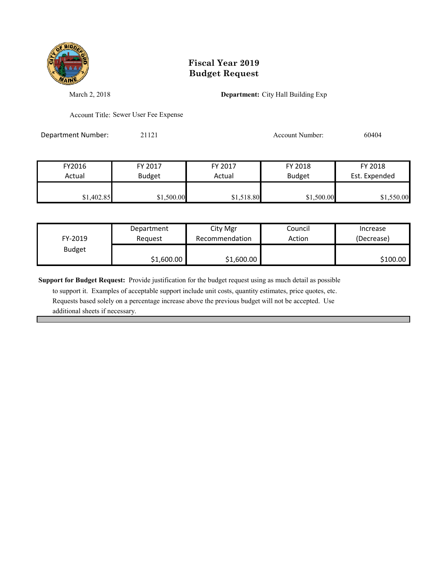

March 2, 2018 **Department:** City Hall Building Exp

Account Title: Sewer User Fee Expense

Department Number: 21121 21121 Account Number: 60404

| FY2016     | FY 2017       | FY 2017    | FY 2018       | FY 2018       |
|------------|---------------|------------|---------------|---------------|
| Actual     | <b>Budget</b> | Actual     | <b>Budget</b> | Est. Expended |
| \$1,402.85 | \$1,500.00    | \$1,518.80 | \$1,500.00    | \$1,550.00    |

|               | Department | City Mgr       | Council | Increase   |
|---------------|------------|----------------|---------|------------|
| FY-2019       | Reauest    | Recommendation | Action  | (Decrease) |
| <b>Budget</b> |            |                |         |            |
|               | \$1,600.00 | \$1,600.00     |         | \$100.00   |

**Support for Budget Request:** Provide justification for the budget request using as much detail as possible

 to support it. Examples of acceptable support include unit costs, quantity estimates, price quotes, etc. Requests based solely on a percentage increase above the previous budget will not be accepted. Use additional sheets if necessary.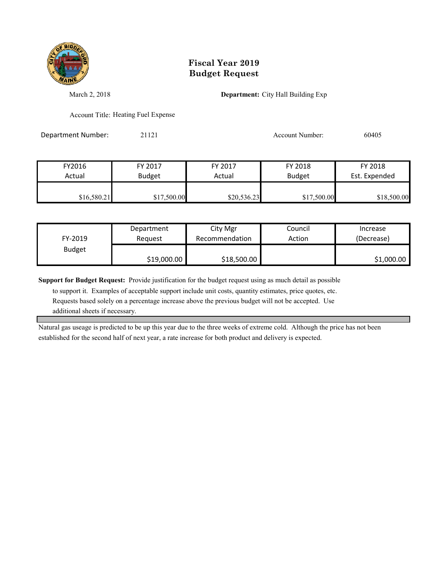

March 2, 2018 **Department:** City Hall Building Exp

Account Title: Heating Fuel Expense

Department Number: 21121 21121 Account Number: 60405

| FY2016      | FY 2017       | FY 2017     | FY 2018       | FY 2018       |
|-------------|---------------|-------------|---------------|---------------|
| Actual      | <b>Budget</b> | Actual      | <b>Budget</b> | Est. Expended |
|             |               |             |               |               |
| \$16,580.21 | \$17,500.00   | \$20,536.23 | \$17,500.00   | \$18,500.00   |

| FY-2019       | Department  | City Mgr       | Council | Increase   |
|---------------|-------------|----------------|---------|------------|
|               | Reauest     | Recommendation | Action  | (Decrease) |
| <b>Budget</b> | \$19,000.00 | \$18,500.00    |         | \$1,000.00 |

**Support for Budget Request:** Provide justification for the budget request using as much detail as possible

 to support it. Examples of acceptable support include unit costs, quantity estimates, price quotes, etc. Requests based solely on a percentage increase above the previous budget will not be accepted. Use additional sheets if necessary.

Natural gas useage is predicted to be up this year due to the three weeks of extreme cold. Although the price has not been established for the second half of next year, a rate increase for both product and delivery is expected.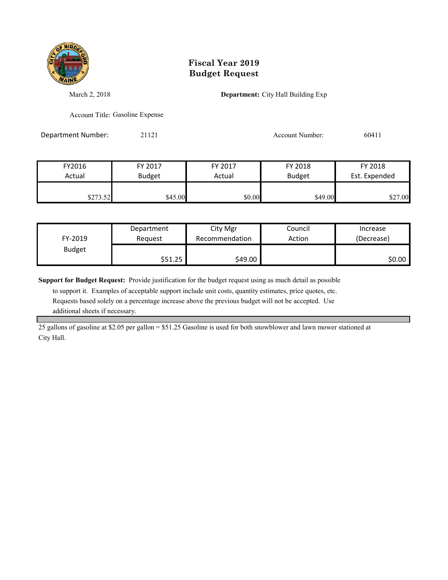

March 2, 2018 **Department:** City Hall Building Exp

Account Title: Gasoline Expense

Department Number: 21121 21121 Account Number: 60411

| FY2016   | FY 2017       | FY 2017 | FY 2018       | FY 2018       |
|----------|---------------|---------|---------------|---------------|
| Actual   | <b>Budget</b> | Actual  | <b>Budget</b> | Est. Expended |
|          |               |         |               |               |
| \$273.52 | \$45.00       | \$0.00  | \$49.00       | \$27.00       |

| FY-2019       | Department | City Mgr       | Council | Increase   |
|---------------|------------|----------------|---------|------------|
|               | Reauest    | Recommendation | Action  | (Decrease) |
| <b>Budget</b> | \$51.25    | \$49.00        |         | \$0.00     |

**Support for Budget Request:** Provide justification for the budget request using as much detail as possible

 to support it. Examples of acceptable support include unit costs, quantity estimates, price quotes, etc. Requests based solely on a percentage increase above the previous budget will not be accepted. Use additional sheets if necessary.

25 gallons of gasoline at \$2.05 per gallon = \$51.25 Gasoline is used for both snowblower and lawn mower stationed at City Hall.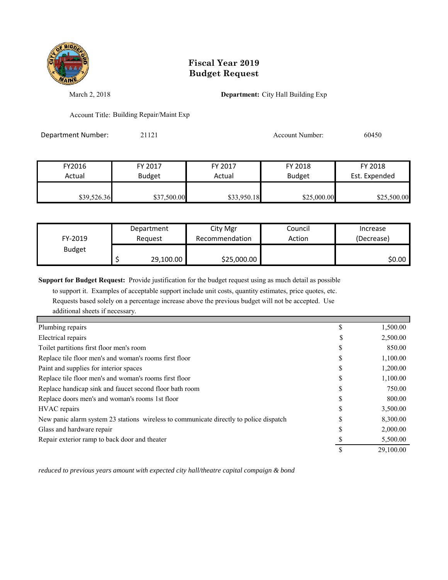

March 2, 2018 **Department:** City Hall Building Exp

Account Title: Building Repair/Maint Exp

Department Number: 21121 21121 Account Number: 60450

| FY2016      | FY 2017       | FY 2017     | FY 2018       | FY 2018       |
|-------------|---------------|-------------|---------------|---------------|
| Actual      | <b>Budget</b> | Actual      | <b>Budget</b> | Est. Expended |
|             |               |             |               |               |
| \$39,526.36 | \$37,500.00   | \$33,950.18 | \$25,000.00   | \$25,500.00   |

| FY-2019       | Department | City Mgr       | Council | Increase   |
|---------------|------------|----------------|---------|------------|
|               | Reauest    | Recommendation | Action  | (Decrease) |
| <b>Budget</b> | 29,100.00  | \$25,000.00    |         | \$0.00     |

**Support for Budget Request:** Provide justification for the budget request using as much detail as possible

 to support it. Examples of acceptable support include unit costs, quantity estimates, price quotes, etc. Requests based solely on a percentage increase above the previous budget will not be accepted. Use additional sheets if necessary.

| Plumbing repairs                                                                       | \$ | 1,500.00  |
|----------------------------------------------------------------------------------------|----|-----------|
| Electrical repairs                                                                     |    | 2,500.00  |
| Toilet partitions first floor men's room                                               |    | 850.00    |
| Replace tile floor men's and woman's rooms first floor                                 |    | 1,100.00  |
| Paint and supplies for interior spaces                                                 | ъ  | 1,200.00  |
| Replace tile floor men's and woman's rooms first floor                                 | D  | 1,100.00  |
| Replace handicap sink and faucet second floor bath room                                | ъ. | 750.00    |
| Replace doors men's and woman's rooms 1st floor                                        |    | 800.00    |
| HVAC repairs                                                                           |    | 3,500.00  |
| New panic alarm system 23 stations wireless to communicate directly to police dispatch |    | 8,300.00  |
| Glass and hardware repair                                                              | ъ. | 2,000.00  |
| Repair exterior ramp to back door and theater                                          |    | 5,500.00  |
|                                                                                        |    | 29,100.00 |

*reduced to previous years amount with expected city hall/theatre capital compaign & bond*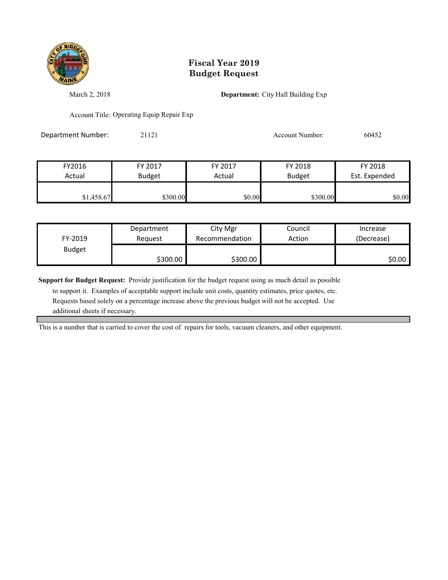

March 2, 2018 **Department:** City Hall Building Exp

Account Title: Operating Equip Repair Exp

Department Number: 21121 21121 Account Number: 60452

| FY2016     | FY 2017       | FY 2017 | FY 2018       | FY 2018       |
|------------|---------------|---------|---------------|---------------|
| Actual     | <b>Budget</b> | Actual  | <b>Budget</b> | Est. Expended |
|            |               |         |               |               |
| \$1,458.67 | \$300.00      | \$0.00  | \$300.00      | \$0.00        |

| FY-2019       | Department | City Mgr       | Council | Increase   |
|---------------|------------|----------------|---------|------------|
|               | Reauest    | Recommendation | Action  | (Decrease) |
| <b>Budget</b> | \$300.00   | \$300.00       |         | \$0.00     |

**Support for Budget Request:** Provide justification for the budget request using as much detail as possible

 to support it. Examples of acceptable support include unit costs, quantity estimates, price quotes, etc. Requests based solely on a percentage increase above the previous budget will not be accepted. Use additional sheets if necessary.

This is a number that is carried to cover the cost of repairs for tools, vacuum cleaners, and other equipment.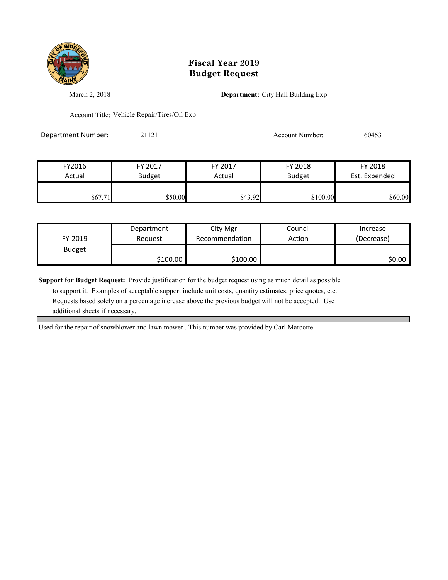

March 2, 2018 **Department:** City Hall Building Exp

Account Title: Vehicle Repair/Tires/Oil Exp

Department Number: 21121 21121 Account Number: 60453

| FY2016  | FY 2017       | FY 2017 | FY 2018       | FY 2018       |
|---------|---------------|---------|---------------|---------------|
| Actual  | <b>Budget</b> | Actual  | <b>Budget</b> | Est. Expended |
|         |               |         |               |               |
| \$67.71 | \$50.00       | \$43.92 | \$100.00      | \$60.00       |

|               | Department | City Mgr       | Council | Increase   |
|---------------|------------|----------------|---------|------------|
| FY-2019       | Reauest    | Recommendation | Action  | (Decrease) |
| <b>Budget</b> |            |                |         |            |
|               | \$100.00   | \$100.00       |         | \$0.00∣    |

**Support for Budget Request:** Provide justification for the budget request using as much detail as possible

 to support it. Examples of acceptable support include unit costs, quantity estimates, price quotes, etc. Requests based solely on a percentage increase above the previous budget will not be accepted. Use additional sheets if necessary.

Used for the repair of snowblower and lawn mower . This number was provided by Carl Marcotte.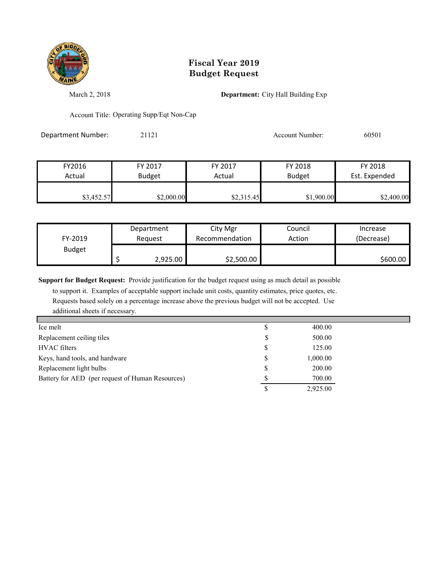

March 2, 2018 **Department:** City Hall Building Exp

Account Title: Operating Supp/Eqt Non-Cap

Department Number: 21121 21121 Account Number: 60501

| FY2016     | FY 2017       | FY 2017    | FY 2018       | FY 2018       |
|------------|---------------|------------|---------------|---------------|
| Actual     | <b>Budget</b> | Actual     | <b>Budget</b> | Est. Expended |
| \$3,452.57 | \$2,000.00    | \$2,315.45 | \$1,900.00    | \$2,400.00    |

| FY-2019       | Department | City Mgr       | Council | Increase   |
|---------------|------------|----------------|---------|------------|
|               | Reauest    | Recommendation | Action  | (Decrease) |
| <b>Budget</b> | 2,925.00   | \$2,500.00     |         | \$600.00   |

**Support for Budget Request:** Provide justification for the budget request using as much detail as possible

 to support it. Examples of acceptable support include unit costs, quantity estimates, price quotes, etc. Requests based solely on a percentage increase above the previous budget will not be accepted. Use additional sheets if necessary.

| Ice melt                                         |   | 400.00   |
|--------------------------------------------------|---|----------|
| Replacement ceiling tiles                        | S | 500.00   |
| <b>HVAC</b> filters                              |   | 125.00   |
| Keys, hand tools, and hardware                   |   | 1,000.00 |
| Replacement light bulbs                          |   | 200.00   |
| Battery for AED (per request of Human Resources) |   | 700.00   |
|                                                  |   | 2,925.00 |